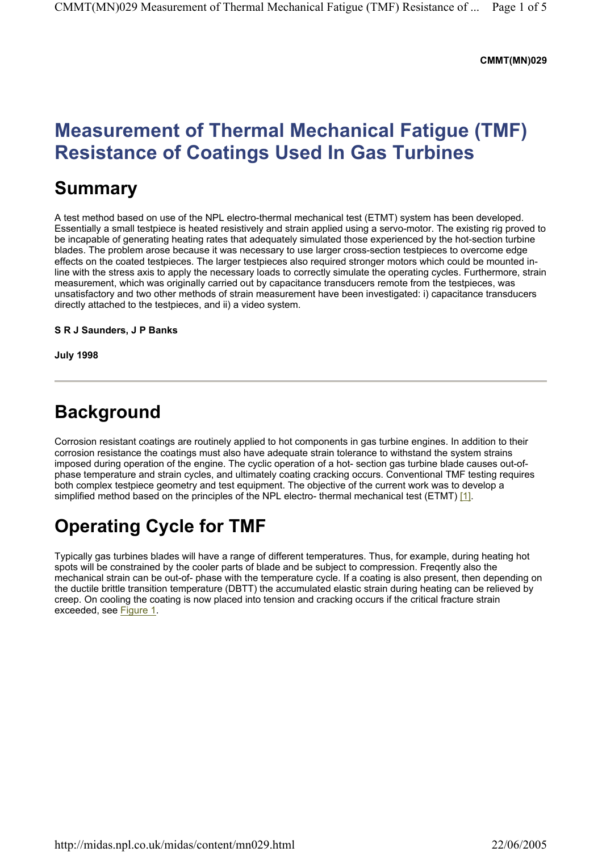#### **CMMT(MN)029**

### **Measurement of Thermal Mechanical Fatigue (TMF) Resistance of Coatings Used In Gas Turbines**

### **Summary**

A test method based on use of the NPL electro-thermal mechanical test (ETMT) system has been developed. Essentially a small testpiece is heated resistively and strain applied using a servo-motor. The existing rig proved to be incapable of generating heating rates that adequately simulated those experienced by the hot-section turbine blades. The problem arose because it was necessary to use larger cross-section testpieces to overcome edge effects on the coated testpieces. The larger testpieces also required stronger motors which could be mounted inline with the stress axis to apply the necessary loads to correctly simulate the operating cycles. Furthermore, strain measurement, which was originally carried out by capacitance transducers remote from the testpieces, was unsatisfactory and two other methods of strain measurement have been investigated: i) capacitance transducers directly attached to the testpieces, and ii) a video system.

#### **S R J Saunders, J P Banks**

**July 1998** 

### **Background**

Corrosion resistant coatings are routinely applied to hot components in gas turbine engines. In addition to their corrosion resistance the coatings must also have adequate strain tolerance to withstand the system strains imposed during operation of the engine. The cyclic operation of a hot- section gas turbine blade causes out-ofphase temperature and strain cycles, and ultimately coating cracking occurs. Conventional TMF testing requires both complex testpiece geometry and test equipment. The objective of the current work was to develop a simplified method based on the principles of the NPL electro- thermal mechanical test (ETMT) [1].

## **Operating Cycle for TMF**

Typically gas turbines blades will have a range of different temperatures. Thus, for example, during heating hot spots will be constrained by the cooler parts of blade and be subject to compression. Freqently also the mechanical strain can be out-of- phase with the temperature cycle. If a coating is also present, then depending on the ductile brittle transition temperature (DBTT) the accumulated elastic strain during heating can be relieved by creep. On cooling the coating is now placed into tension and cracking occurs if the critical fracture strain exceeded, see Figure 1.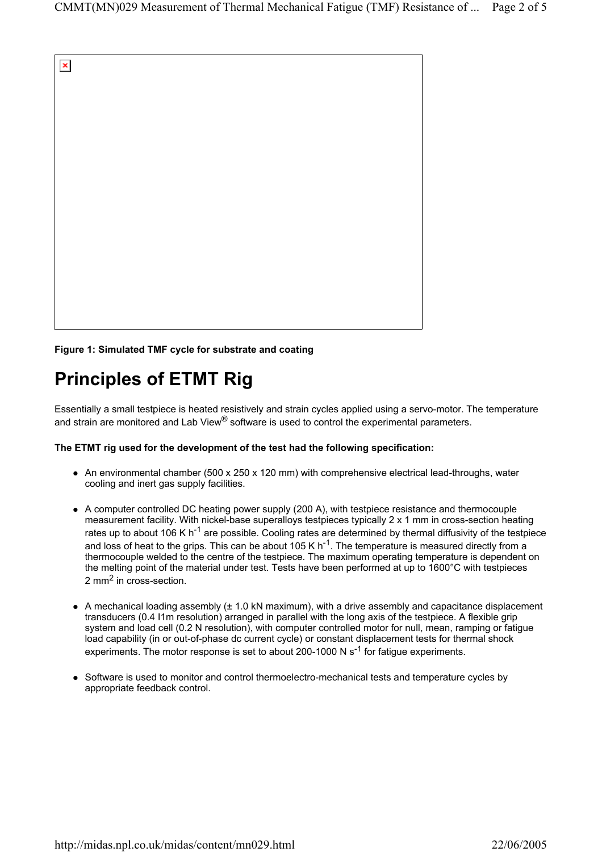

**Figure 1: Simulated TMF cycle for substrate and coating** 

# **Principles of ETMT Rig**

Essentially a small testpiece is heated resistively and strain cycles applied using a servo-motor. The temperature and strain are monitored and Lab View® software is used to control the experimental parameters.

#### **The ETMT rig used for the development of the test had the following specification:**

- An environmental chamber (500 x 250 x 120 mm) with comprehensive electrical lead-throughs, water cooling and inert gas supply facilities.
- A computer controlled DC heating power supply (200 A), with testpiece resistance and thermocouple measurement facility. With nickel-base superalloys testpieces typically 2 x 1 mm in cross-section heating rates up to about 106 K  $h^{-1}$  are possible. Cooling rates are determined by thermal diffusivity of the testpiece and loss of heat to the grips. This can be about 105 K  $h^{-1}$ . The temperature is measured directly from a thermocouple welded to the centre of the testpiece. The maximum operating temperature is dependent on the melting point of the material under test. Tests have been performed at up to 1600°C with testpieces 2 mm2 in cross-section.
- $\bullet$  A mechanical loading assembly ( $\pm$  1.0 kN maximum), with a drive assembly and capacitance displacement transducers (0.4 I1m resolution) arranged in parallel with the long axis of the testpiece. A flexible grip system and load cell (0.2 N resolution), with computer controlled motor for null, mean, ramping or fatigue load capability (in or out-of-phase dc current cycle) or constant displacement tests for thermal shock experiments. The motor response is set to about 200-1000 N  $s^{-1}$  for fatigue experiments.
- Software is used to monitor and control thermoelectro-mechanical tests and temperature cycles by appropriate feedback control.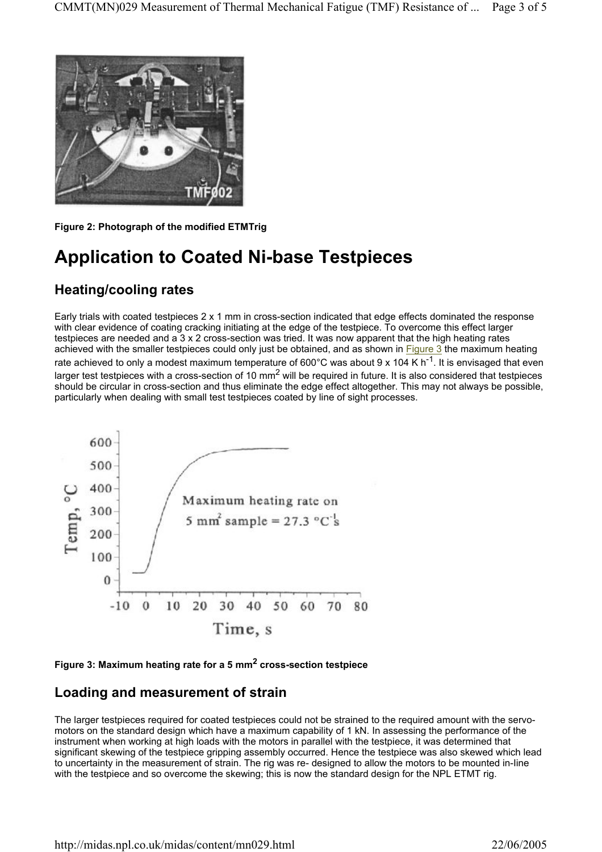

**Figure 2: Photograph of the modified ETMTrig** 

# **Application to Coated Ni-base Testpieces**

### **Heating/cooling rates**

Early trials with coated testpieces 2 x 1 mm in cross-section indicated that edge effects dominated the response with clear evidence of coating cracking initiating at the edge of the testpiece. To overcome this effect larger testpieces are needed and a 3 x 2 cross-section was tried. It was now apparent that the high heating rates achieved with the smaller testpieces could only just be obtained, and as shown in Figure 3 the maximum heating rate achieved to only a modest maximum temperature of 600°C was about 9 x 104 K h<sup>-1</sup>. It is envisaged that even larger test testpieces with a cross-section of 10  $mm<sup>2</sup>$  will be required in future. It is also considered that testpieces should be circular in cross-section and thus eliminate the edge effect altogether. This may not always be possible, particularly when dealing with small test testpieces coated by line of sight processes.





### **Loading and measurement of strain**

The larger testpieces required for coated testpieces could not be strained to the required amount with the servomotors on the standard design which have a maximum capability of 1 kN. In assessing the performance of the instrument when working at high loads with the motors in parallel with the testpiece, it was determined that significant skewing of the testpiece gripping assembly occurred. Hence the testpiece was also skewed which lead to uncertainty in the measurement of strain. The rig was re- designed to allow the motors to be mounted in-Iine with the testpiece and so overcome the skewing; this is now the standard design for the NPL ETMT rig.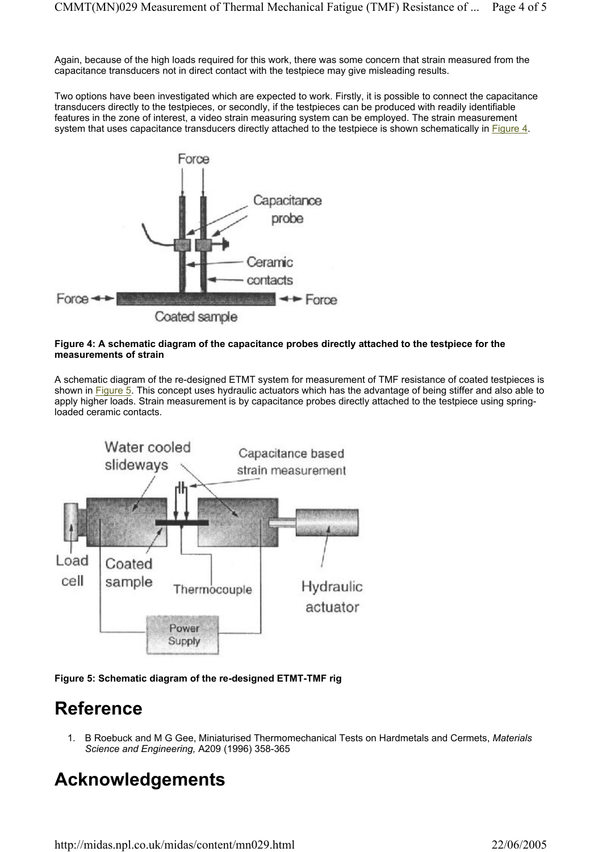Again, because of the high loads required for this work, there was some concern that strain measured from the capacitance transducers not in direct contact with the testpiece may give misleading results.

Two options have been investigated which are expected to work. Firstly, it is possible to connect the capacitance transducers directly to the testpieces, or secondly, if the testpieces can be produced with readily identifiable features in the zone of interest, a video strain measuring system can be employed. The strain measurement system that uses capacitance transducers directly attached to the testpiece is shown schematically in Figure 4.



#### **Figure 4: A schematic diagram of the capacitance probes directly attached to the testpiece for the measurements of strain**

A schematic diagram of the re-designed ETMT system for measurement of TMF resistance of coated testpieces is shown in Figure 5. This concept uses hydraulic actuators which has the advantage of being stiffer and also able to apply higher loads. Strain measurement is by capacitance probes directly attached to the testpiece using springloaded ceramic contacts.





## **Reference**

1. B Roebuck and M G Gee, Miniaturised Thermomechanical Tests on Hardmetals and Cermets, *Materials Science and Engineering,* A209 (1996) 358-365

# **Acknowledgements**